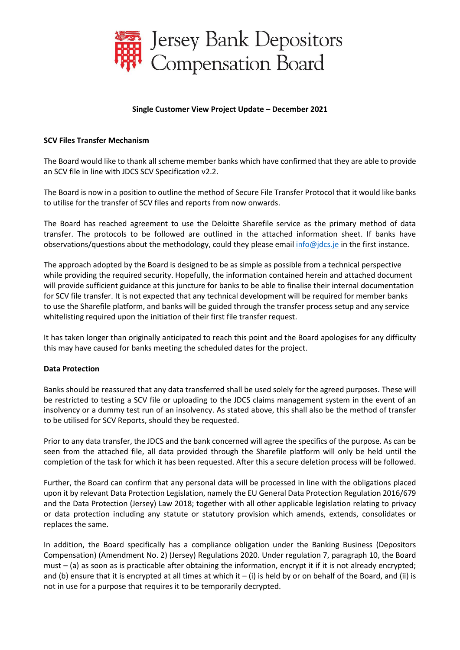

## **Single Customer View Project Update – December 2021**

## **SCV Files Transfer Mechanism**

The Board would like to thank all scheme member banks which have confirmed that they are able to provide an SCV file in line with JDCS SCV Specification v2.2.

The Board is now in a position to outline the method of Secure File Transfer Protocol that it would like banks to utilise for the transfer of SCV files and reports from now onwards.

The Board has reached agreement to use the Deloitte Sharefile service as the primary method of data transfer. The protocols to be followed are outlined in the attached information sheet. If banks have observations/questions about the methodology, could they please email [info@jdcs.je](mailto:info@jdcs.je) in the first instance.

The approach adopted by the Board is designed to be as simple as possible from a technical perspective while providing the required security. Hopefully, the information contained herein and attached document will provide sufficient guidance at this juncture for banks to be able to finalise their internal documentation for SCV file transfer. It is not expected that any technical development will be required for member banks to use the Sharefile platform, and banks will be guided through the transfer process setup and any service whitelisting required upon the initiation of their first file transfer request.

It has taken longer than originally anticipated to reach this point and the Board apologises for any difficulty this may have caused for banks meeting the scheduled dates for the project.

## **Data Protection**

Banks should be reassured that any data transferred shall be used solely for the agreed purposes. These will be restricted to testing a SCV file or uploading to the JDCS claims management system in the event of an insolvency or a dummy test run of an insolvency. As stated above, this shall also be the method of transfer to be utilised for SCV Reports, should they be requested.

Prior to any data transfer, the JDCS and the bank concerned will agree the specifics of the purpose. As can be seen from the attached file, all data provided through the Sharefile platform will only be held until the completion of the task for which it has been requested. After this a secure deletion process will be followed.

Further, the Board can confirm that any personal data will be processed in line with the obligations placed upon it by relevant Data Protection Legislation, namely the EU General Data Protection Regulation 2016/679 and the Data Protection (Jersey) Law 2018; together with all other applicable legislation relating to privacy or data protection including any statute or statutory provision which amends, extends, consolidates or replaces the same.

In addition, the Board specifically has a compliance obligation under the Banking Business (Depositors Compensation) (Amendment No. 2) (Jersey) Regulations 2020. Under regulation 7, paragraph 10, the Board must – (a) as soon as is practicable after obtaining the information, encrypt it if it is not already encrypted; and (b) ensure that it is encrypted at all times at which it  $-$  (i) is held by or on behalf of the Board, and (ii) is not in use for a purpose that requires it to be temporarily decrypted.